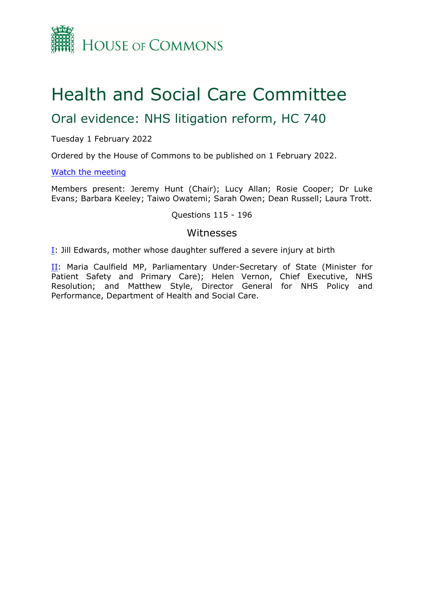

# Health and Social Care Committee

# Oral evidence: NHS litigation reform, HC 740

#### Tuesday 1 February 2022

Ordered by the House of Commons to be published on 1 February 2022.

#### [Watch](https://www.parliamentlive.tv/Event/Index/ccad27b6-174d-48b9-a148-7df569b96f33) [the](https://www.parliamentlive.tv/Event/Index/ccad27b6-174d-48b9-a148-7df569b96f33) [meeting](https://www.parliamentlive.tv/Event/Index/ccad27b6-174d-48b9-a148-7df569b96f33)

Members present: Jeremy Hunt (Chair); Lucy Allan; Rosie Cooper; Dr Luke Evans; Barbara Keeley; Taiwo Owatemi; Sarah Owen; Dean Russell; Laura Trott.

#### Questions 115 - 196

#### Witnesses

[I:](#page-1-0) Jill Edwards, mother whose daughter suffered a severe injury at birth

[II](#page-5-0): Maria Caulfield MP, Parliamentary Under-Secretary of State (Minister for Patient Safety and Primary Care); Helen Vernon, Chief Executive, NHS Resolution; and Matthew Style, Director General for NHS Policy and Performance, Department of Health and Social Care.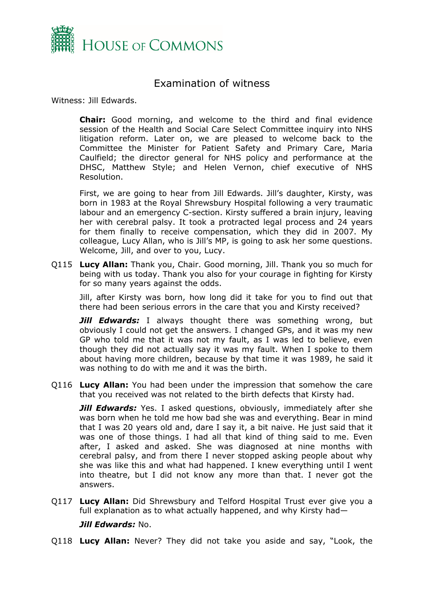

## <span id="page-1-0"></span>Examination of witness

Witness: Jill Edwards.

**Chair:** Good morning, and welcome to the third and final evidence session of the Health and Social Care Select Committee inquiry into NHS litigation reform. Later on, we are pleased to welcome back to the Committee the Minister for Patient Safety and Primary Care, Maria Caulfield; the director general for NHS policy and performance at the DHSC, Matthew Style; and Helen Vernon, chief executive of NHS Resolution.

First, we are going to hear from Jill Edwards. Jill's daughter, Kirsty, was born in 1983 at the Royal Shrewsbury Hospital following a very traumatic labour and an emergency C-section. Kirsty suffered a brain injury, leaving her with cerebral palsy. It took a protracted legal process and 24 years for them finally to receive compensation, which they did in 2007. My colleague, Lucy Allan, who is Jill's MP, is going to ask her some questions. Welcome, Jill, and over to you, Lucy.

Q115 **Lucy Allan:** Thank you, Chair. Good morning, Jill. Thank you so much for being with us today. Thank you also for your courage in fighting for Kirsty for so many years against the odds.

Jill, after Kirsty was born, how long did it take for you to find out that there had been serious errors in the care that you and Kirsty received?

*Jill Edwards:* I always thought there was something wrong, but obviously I could not get the answers. I changed GPs, and it was my new GP who told me that it was not my fault, as I was led to believe, even though they did not actually say it was my fault. When I spoke to them about having more children, because by that time it was 1989, he said it was nothing to do with me and it was the birth.

Q116 **Lucy Allan:** You had been under the impression that somehow the care that you received was not related to the birth defects that Kirsty had.

**Jill Edwards:** Yes. I asked questions, obviously, immediately after she was born when he told me how bad she was and everything. Bear in mind that I was 20 years old and, dare I say it, a bit naive. He just said that it was one of those things. I had all that kind of thing said to me. Even after, I asked and asked. She was diagnosed at nine months with cerebral palsy, and from there I never stopped asking people about why she was like this and what had happened. I knew everything until I went into theatre, but I did not know any more than that. I never got the answers.

Q117 **Lucy Allan:** Did Shrewsbury and Telford Hospital Trust ever give you a full explanation as to what actually happened, and why Kirsty had—

#### *Jill Edwards:* No.

Q118 **Lucy Allan:** Never? They did not take you aside and say, "Look, the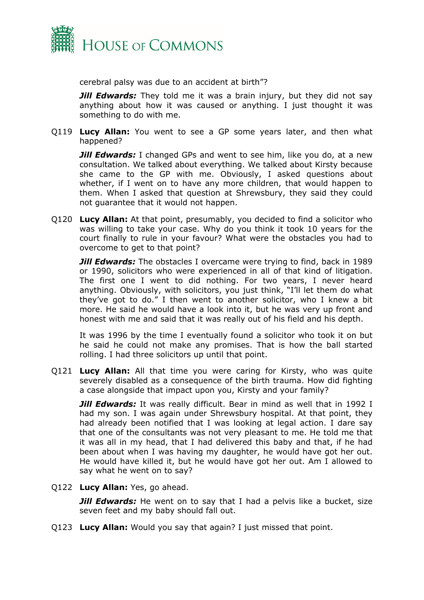

cerebral palsy was due to an accident at birth"?

*Jill Edwards:* They told me it was a brain injury, but they did not say anything about how it was caused or anything. I just thought it was something to do with me.

Q119 **Lucy Allan:** You went to see a GP some years later, and then what happened?

*Jill Edwards:* I changed GPs and went to see him, like you do, at a new consultation. We talked about everything. We talked about Kirsty because she came to the GP with me. Obviously, I asked questions about whether, if I went on to have any more children, that would happen to them. When I asked that question at Shrewsbury, they said they could not guarantee that it would not happen.

Q120 **Lucy Allan:** At that point, presumably, you decided to find a solicitor who was willing to take your case. Why do you think it took 10 years for the court finally to rule in your favour? What were the obstacles you had to overcome to get to that point?

*Jill Edwards:* The obstacles I overcame were trying to find, back in 1989 or 1990, solicitors who were experienced in all of that kind of litigation. The first one I went to did nothing. For two years, I never heard anything. Obviously, with solicitors, you just think, "I'll let them do what they've got to do." I then went to another solicitor, who I knew a bit more. He said he would have a look into it, but he was very up front and honest with me and said that it was really out of his field and his depth.

It was 1996 by the time I eventually found a solicitor who took it on but he said he could not make any promises. That is how the ball started rolling. I had three solicitors up until that point.

Q121 **Lucy Allan:** All that time you were caring for Kirsty, who was quite severely disabled as a consequence of the birth trauma. How did fighting a case alongside that impact upon you, Kirsty and your family?

**Jill Edwards:** It was really difficult. Bear in mind as well that in 1992 I had my son. I was again under Shrewsbury hospital. At that point, they had already been notified that I was looking at legal action. I dare say that one of the consultants was not very pleasant to me. He told me that it was all in my head, that I had delivered this baby and that, if he had been about when I was having my daughter, he would have got her out. He would have killed it, but he would have got her out. Am I allowed to say what he went on to say?

Q122 **Lucy Allan:** Yes, go ahead.

*Jill Edwards:* He went on to say that I had a pelvis like a bucket, size seven feet and my baby should fall out.

Q123 **Lucy Allan:** Would you say that again? I just missed that point.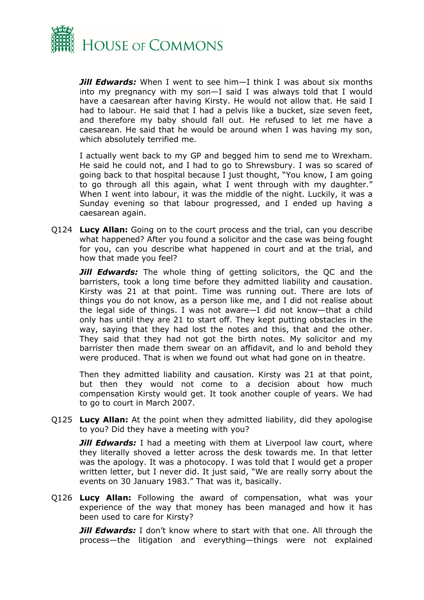

*Jill Edwards:* When I went to see him—I think I was about six months into my pregnancy with my son—I said I was always told that I would have a caesarean after having Kirsty. He would not allow that. He said I had to labour. He said that I had a pelvis like a bucket, size seven feet, and therefore my baby should fall out. He refused to let me have a caesarean. He said that he would be around when I was having my son, which absolutely terrified me.

I actually went back to my GP and begged him to send me to Wrexham. He said he could not, and I had to go to Shrewsbury. I was so scared of going back to that hospital because I just thought, "You know, I am going to go through all this again, what I went through with my daughter." When I went into labour, it was the middle of the night. Luckily, it was a Sunday evening so that labour progressed, and I ended up having a caesarean again.

Q124 **Lucy Allan:** Going on to the court process and the trial, can you describe what happened? After you found a solicitor and the case was being fought for you, can you describe what happened in court and at the trial, and how that made you feel?

**Jill Edwards:** The whole thing of getting solicitors, the QC and the barristers, took a long time before they admitted liability and causation. Kirsty was 21 at that point. Time was running out. There are lots of things you do not know, as a person like me, and I did not realise about the legal side of things. I was not aware—I did not know—that a child only has until they are 21 to start off. They kept putting obstacles in the way, saying that they had lost the notes and this, that and the other. They said that they had not got the birth notes. My solicitor and my barrister then made them swear on an affidavit, and lo and behold they were produced. That is when we found out what had gone on in theatre.

Then they admitted liability and causation. Kirsty was 21 at that point, but then they would not come to a decision about how much compensation Kirsty would get. It took another couple of years. We had to go to court in March 2007.

Q125 **Lucy Allan:** At the point when they admitted liability, did they apologise to you? Did they have a meeting with you?

*Jill Edwards:* I had a meeting with them at Liverpool law court, where they literally shoved a letter across the desk towards me. In that letter was the apology. It was a photocopy. I was told that I would get a proper written letter, but I never did. It just said, "We are really sorry about the events on 30 January 1983." That was it, basically.

Q126 **Lucy Allan:** Following the award of compensation, what was your experience of the way that money has been managed and how it has been used to care for Kirsty?

*Jill Edwards:* I don't know where to start with that one. All through the process—the litigation and everything—things were not explained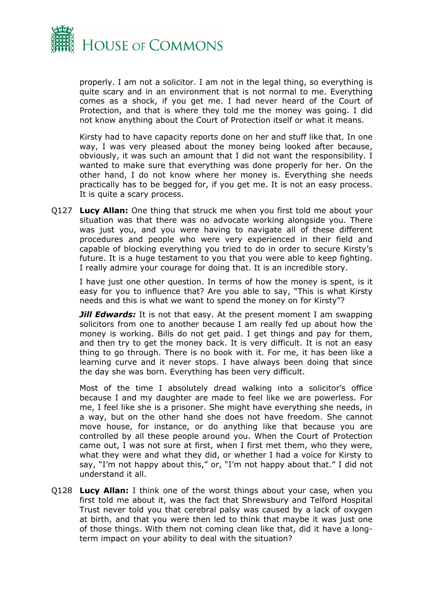

properly. I am not a solicitor. I am not in the legal thing, so everything is quite scary and in an environment that is not normal to me. Everything comes as a shock, if you get me. I had never heard of the Court of Protection, and that is where they told me the money was going. I did not know anything about the Court of Protection itself or what it means.

Kirsty had to have capacity reports done on her and stuff like that. In one way, I was very pleased about the money being looked after because, obviously, it was such an amount that I did not want the responsibility. I wanted to make sure that everything was done properly for her. On the other hand, I do not know where her money is. Everything she needs practically has to be begged for, if you get me. It is not an easy process. It is quite a scary process.

Q127 **Lucy Allan:** One thing that struck me when you first told me about your situation was that there was no advocate working alongside you. There was just you, and you were having to navigate all of these different procedures and people who were very experienced in their field and capable of blocking everything you tried to do in order to secure Kirsty's future. It is a huge testament to you that you were able to keep fighting. I really admire your courage for doing that. It is an incredible story.

I have just one other question. In terms of how the money is spent, is it easy for you to influence that? Are you able to say, "This is what Kirsty needs and this is what we want to spend the money on for Kirsty"?

*Jill Edwards:* It is not that easy. At the present moment I am swapping solicitors from one to another because I am really fed up about how the money is working. Bills do not get paid. I get things and pay for them, and then try to get the money back. It is very difficult. It is not an easy thing to go through. There is no book with it. For me, it has been like a learning curve and it never stops. I have always been doing that since the day she was born. Everything has been very difficult.

Most of the time I absolutely dread walking into a solicitor's office because I and my daughter are made to feel like we are powerless. For me, I feel like she is a prisoner. She might have everything she needs, in a way, but on the other hand she does not have freedom. She cannot move house, for instance, or do anything like that because you are controlled by all these people around you. When the Court of Protection came out, I was not sure at first, when I first met them, who they were, what they were and what they did, or whether I had a voice for Kirsty to say, "I'm not happy about this," or, "I'm not happy about that." I did not understand it all.

Q128 **Lucy Allan:** I think one of the worst things about your case, when you first told me about it, was the fact that Shrewsbury and Telford Hospital Trust never told you that cerebral palsy was caused by a lack of oxygen at birth, and that you were then led to think that maybe it was just one of those things. With them not coming clean like that, did it have a longterm impact on your ability to deal with the situation?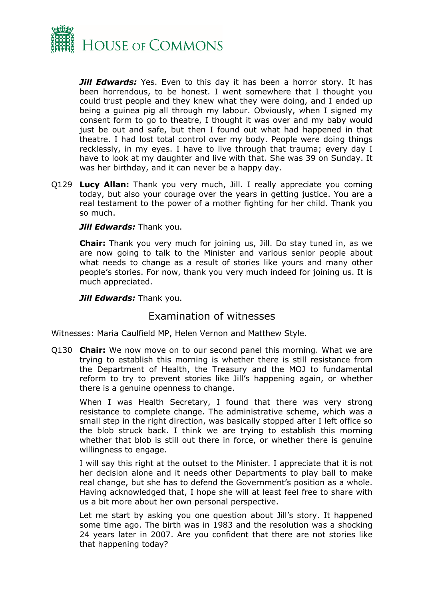

*Jill Edwards:* Yes. Even to this day it has been a horror story. It has been horrendous, to be honest. I went somewhere that I thought you could trust people and they knew what they were doing, and I ended up being a guinea pig all through my labour. Obviously, when I signed my consent form to go to theatre, I thought it was over and my baby would just be out and safe, but then I found out what had happened in that theatre. I had lost total control over my body. People were doing things recklessly, in my eyes. I have to live through that trauma; every day I have to look at my daughter and live with that. She was 39 on Sunday. It was her birthday, and it can never be a happy day.

Q129 **Lucy Allan:** Thank you very much, Jill. I really appreciate you coming today, but also your courage over the years in getting justice. You are a real testament to the power of a mother fighting for her child. Thank you so much.

#### *Jill Edwards: Thank you.*

**Chair:** Thank you very much for joining us, Jill. Do stay tuned in, as we are now going to talk to the Minister and various senior people about what needs to change as a result of stories like yours and many other people's stories. For now, thank you very much indeed for joining us. It is much appreciated.

*Jill Edwards: Thank you.* 

### <span id="page-5-0"></span>Examination of witnesses

Witnesses: Maria Caulfield MP, Helen Vernon and Matthew Style.

Q130 **Chair:** We now move on to our second panel this morning. What we are trying to establish this morning is whether there is still resistance from the Department of Health, the Treasury and the MOJ to fundamental reform to try to prevent stories like Jill's happening again, or whether there is a genuine openness to change.

When I was Health Secretary, I found that there was very strong resistance to complete change. The administrative scheme, which was a small step in the right direction, was basically stopped after I left office so the blob struck back. I think we are trying to establish this morning whether that blob is still out there in force, or whether there is genuine willingness to engage.

I will say this right at the outset to the Minister. I appreciate that it is not her decision alone and it needs other Departments to play ball to make real change, but she has to defend the Government's position as a whole. Having acknowledged that, I hope she will at least feel free to share with us a bit more about her own personal perspective.

Let me start by asking you one question about Jill's story. It happened some time ago. The birth was in 1983 and the resolution was a shocking 24 years later in 2007. Are you confident that there are not stories like that happening today?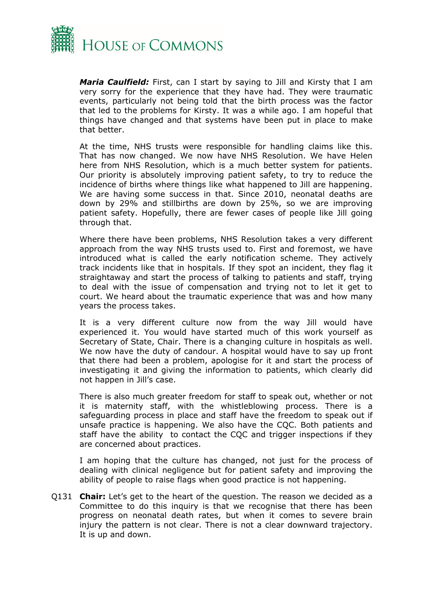

*Maria Caulfield:* First, can I start by saying to Jill and Kirsty that I am very sorry for the experience that they have had. They were traumatic events, particularly not being told that the birth process was the factor that led to the problems for Kirsty. It was a while ago. I am hopeful that things have changed and that systems have been put in place to make that better.

At the time, NHS trusts were responsible for handling claims like this. That has now changed. We now have NHS Resolution. We have Helen here from NHS Resolution, which is a much better system for patients. Our priority is absolutely improving patient safety, to try to reduce the incidence of births where things like what happened to Jill are happening. We are having some success in that. Since 2010, neonatal deaths are down by 29% and stillbirths are down by 25%, so we are improving patient safety. Hopefully, there are fewer cases of people like Jill going through that.

Where there have been problems, NHS Resolution takes a very different approach from the way NHS trusts used to. First and foremost, we have introduced what is called the early notification scheme. They actively track incidents like that in hospitals. If they spot an incident, they flag it straightaway and start the process of talking to patients and staff, trying to deal with the issue of compensation and trying not to let it get to court. We heard about the traumatic experience that was and how many years the process takes.

It is a very different culture now from the way Jill would have experienced it. You would have started much of this work yourself as Secretary of State, Chair. There is a changing culture in hospitals as well. We now have the duty of candour. A hospital would have to say up front that there had been a problem, apologise for it and start the process of investigating it and giving the information to patients, which clearly did not happen in Jill's case.

There is also much greater freedom for staff to speak out, whether or not it is maternity staff, with the whistleblowing process. There is a safeguarding process in place and staff have the freedom to speak out if unsafe practice is happening. We also have the CQC. Both patients and staff have the ability to contact the CQC and trigger inspections if they are concerned about practices.

I am hoping that the culture has changed, not just for the process of dealing with clinical negligence but for patient safety and improving the ability of people to raise flags when good practice is not happening.

Q131 **Chair:** Let's get to the heart of the question. The reason we decided as a Committee to do this inquiry is that we recognise that there has been progress on neonatal death rates, but when it comes to severe brain injury the pattern is not clear. There is not a clear downward trajectory. It is up and down.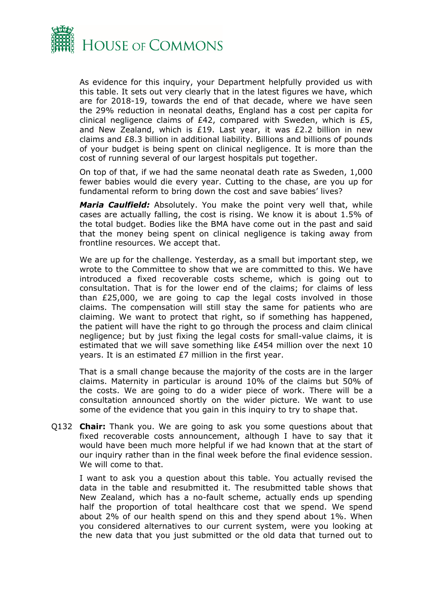

As evidence for this inquiry, your Department helpfully provided us with this table. It sets out very clearly that in the latest figures we have, which are for 2018-19, towards the end of that decade, where we have seen the 29% reduction in neonatal deaths, England has a cost per capita for clinical negligence claims of £42, compared with Sweden, which is £5, and New Zealand, which is £19. Last year, it was £2.2 billion in new claims and £8.3 billion in additional liability. Billions and billions of pounds of your budget is being spent on clinical negligence. It is more than the cost of running several of our largest hospitals put together.

On top of that, if we had the same neonatal death rate as Sweden, 1,000 fewer babies would die every year. Cutting to the chase, are you up for fundamental reform to bring down the cost and save babies' lives?

*Maria Caulfield:* Absolutely. You make the point very well that, while cases are actually falling, the cost is rising. We know it is about 1.5% of the total budget. Bodies like the BMA have come out in the past and said that the money being spent on clinical negligence is taking away from frontline resources. We accept that.

We are up for the challenge. Yesterday, as a small but important step, we wrote to the Committee to show that we are committed to this. We have introduced a fixed recoverable costs scheme, which is going out to consultation. That is for the lower end of the claims; for claims of less than £25,000, we are going to cap the legal costs involved in those claims. The compensation will still stay the same for patients who are claiming. We want to protect that right, so if something has happened, the patient will have the right to go through the process and claim clinical negligence; but by just fixing the legal costs for small-value claims, it is estimated that we will save something like £454 million over the next 10 years. It is an estimated £7 million in the first year.

That is a small change because the majority of the costs are in the larger claims. Maternity in particular is around 10% of the claims but 50% of the costs. We are going to do a wider piece of work. There will be a consultation announced shortly on the wider picture. We want to use some of the evidence that you gain in this inquiry to try to shape that.

Q132 **Chair:** Thank you. We are going to ask you some questions about that fixed recoverable costs announcement, although I have to say that it would have been much more helpful if we had known that at the start of our inquiry rather than in the final week before the final evidence session. We will come to that.

I want to ask you a question about this table. You actually revised the data in the table and resubmitted it. The resubmitted table shows that New Zealand, which has a no-fault scheme, actually ends up spending half the proportion of total healthcare cost that we spend. We spend about 2% of our health spend on this and they spend about 1%. When you considered alternatives to our current system, were you looking at the new data that you just submitted or the old data that turned out to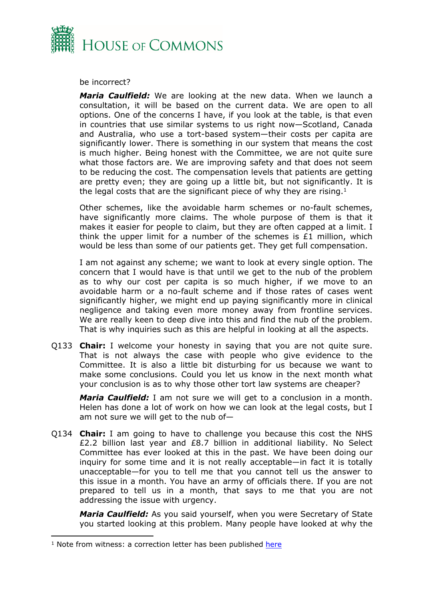

be incorrect?

*Maria Caulfield:* We are looking at the new data. When we launch a consultation, it will be based on the current data. We are open to all options. One of the concerns I have, if you look at the table, is that even in countries that use similar systems to us right now—Scotland, Canada and Australia, who use a tort-based system—their costs per capita are significantly lower. There is something in our system that means the cost is much higher. Being honest with the Committee, we are not quite sure what those factors are. We are improving safety and that does not seem to be reducing the cost. The compensation levels that patients are getting are pretty even; they are going up a little bit, but not significantly. It is the legal costs that are the significant piece of why they are rising.<sup>1</sup>

Other schemes, like the avoidable harm schemes or no-fault schemes, have significantly more claims. The whole purpose of them is that it makes it easier for people to claim, but they are often capped at a limit. I think the upper limit for a number of the schemes is  $£1$  million, which would be less than some of our patients get. They get full compensation.

I am not against any scheme; we want to look at every single option. The concern that I would have is that until we get to the nub of the problem as to why our cost per capita is so much higher, if we move to an avoidable harm or a no-fault scheme and if those rates of cases went significantly higher, we might end up paying significantly more in clinical negligence and taking even more money away from frontline services. We are really keen to deep dive into this and find the nub of the problem. That is why inquiries such as this are helpful in looking at all the aspects.

Q133 **Chair:** I welcome your honesty in saying that you are not quite sure. That is not always the case with people who give evidence to the Committee. It is also a little bit disturbing for us because we want to make some conclusions. Could you let us know in the next month what your conclusion is as to why those other tort law systems are cheaper?

*Maria Caulfield:* I am not sure we will get to a conclusion in a month. Helen has done a lot of work on how we can look at the legal costs, but I am not sure we will get to the nub of—

Q134 **Chair:** I am going to have to challenge you because this cost the NHS £2.2 billion last year and £8.7 billion in additional liability. No Select Committee has ever looked at this in the past. We have been doing our inquiry for some time and it is not really acceptable—in fact it is totally unacceptable—for you to tell me that you cannot tell us the answer to this issue in a month. You have an army of officials there. If you are not prepared to tell us in a month, that says to me that you are not addressing the issue with urgency.

*Maria Caulfield:* As you said yourself, when you were Secretary of State you started looking at this problem. Many people have looked at why the

<sup>&</sup>lt;sup>1</sup> Note from witness: a correction letter has been published [here](https://committees.parliament.uk/publications/21883/documents/162927/default/)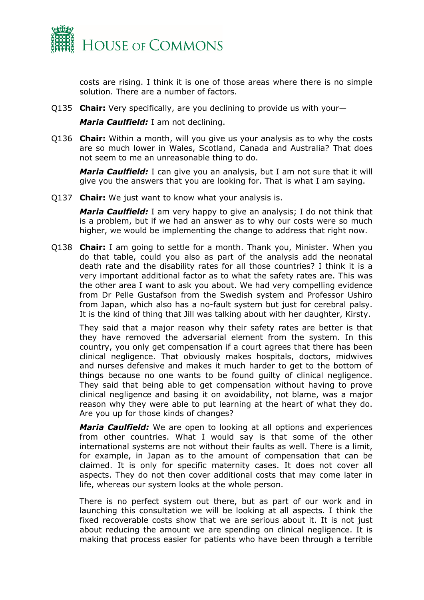

costs are rising. I think it is one of those areas where there is no simple solution. There are a number of factors.

Q135 **Chair:** Very specifically, are you declining to provide us with your—

*Maria Caulfield:* I am not declining.

Q136 **Chair:** Within a month, will you give us your analysis as to why the costs are so much lower in Wales, Scotland, Canada and Australia? That does not seem to me an unreasonable thing to do.

*Maria Caulfield:* I can give you an analysis, but I am not sure that it will give you the answers that you are looking for. That is what I am saying.

Q137 **Chair:** We just want to know what your analysis is.

*Maria Caulfield:* I am very happy to give an analysis; I do not think that is a problem, but if we had an answer as to why our costs were so much higher, we would be implementing the change to address that right now.

Q138 **Chair:** I am going to settle for a month. Thank you, Minister. When you do that table, could you also as part of the analysis add the neonatal death rate and the disability rates for all those countries? I think it is a very important additional factor as to what the safety rates are. This was the other area I want to ask you about. We had very compelling evidence from Dr Pelle Gustafson from the Swedish system and Professor Ushiro from Japan, which also has a no-fault system but just for cerebral palsy. It is the kind of thing that Jill was talking about with her daughter, Kirsty.

They said that a major reason why their safety rates are better is that they have removed the adversarial element from the system. In this country, you only get compensation if a court agrees that there has been clinical negligence. That obviously makes hospitals, doctors, midwives and nurses defensive and makes it much harder to get to the bottom of things because no one wants to be found guilty of clinical negligence. They said that being able to get compensation without having to prove clinical negligence and basing it on avoidability, not blame, was a major reason why they were able to put learning at the heart of what they do. Are you up for those kinds of changes?

*Maria Caulfield:* We are open to looking at all options and experiences from other countries. What I would say is that some of the other international systems are not without their faults as well. There is a limit, for example, in Japan as to the amount of compensation that can be claimed. It is only for specific maternity cases. It does not cover all aspects. They do not then cover additional costs that may come later in life, whereas our system looks at the whole person.

There is no perfect system out there, but as part of our work and in launching this consultation we will be looking at all aspects. I think the fixed recoverable costs show that we are serious about it. It is not just about reducing the amount we are spending on clinical negligence. It is making that process easier for patients who have been through a terrible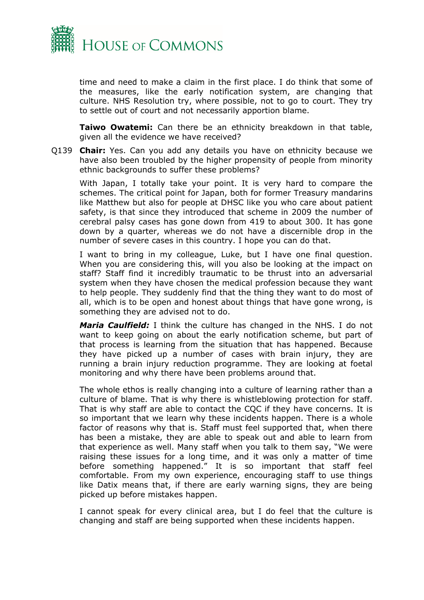

time and need to make a claim in the first place. I do think that some of the measures, like the early notification system, are changing that culture. NHS Resolution try, where possible, not to go to court. They try to settle out of court and not necessarily apportion blame.

**Taiwo Owatemi:** Can there be an ethnicity breakdown in that table, given all the evidence we have received?

Q139 **Chair:** Yes. Can you add any details you have on ethnicity because we have also been troubled by the higher propensity of people from minority ethnic backgrounds to suffer these problems?

With Japan, I totally take your point. It is very hard to compare the schemes. The critical point for Japan, both for former Treasury mandarins like Matthew but also for people at DHSC like you who care about patient safety, is that since they introduced that scheme in 2009 the number of cerebral palsy cases has gone down from 419 to about 300. It has gone down by a quarter, whereas we do not have a discernible drop in the number of severe cases in this country. I hope you can do that.

I want to bring in my colleague, Luke, but I have one final question. When you are considering this, will you also be looking at the impact on staff? Staff find it incredibly traumatic to be thrust into an adversarial system when they have chosen the medical profession because they want to help people. They suddenly find that the thing they want to do most of all, which is to be open and honest about things that have gone wrong, is something they are advised not to do.

*Maria Caulfield:* I think the culture has changed in the NHS. I do not want to keep going on about the early notification scheme, but part of that process is learning from the situation that has happened. Because they have picked up a number of cases with brain injury, they are running a brain injury reduction programme. They are looking at foetal monitoring and why there have been problems around that.

The whole ethos is really changing into a culture of learning rather than a culture of blame. That is why there is whistleblowing protection for staff. That is why staff are able to contact the CQC if they have concerns. It is so important that we learn why these incidents happen. There is a whole factor of reasons why that is. Staff must feel supported that, when there has been a mistake, they are able to speak out and able to learn from that experience as well. Many staff when you talk to them say, "We were raising these issues for a long time, and it was only a matter of time before something happened." It is so important that staff feel comfortable. From my own experience, encouraging staff to use things like Datix means that, if there are early warning signs, they are being picked up before mistakes happen.

I cannot speak for every clinical area, but I do feel that the culture is changing and staff are being supported when these incidents happen.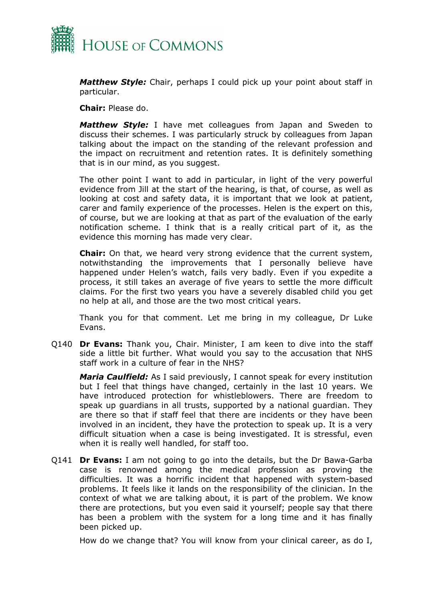

*Matthew Style:* Chair, perhaps I could pick up your point about staff in particular.

**Chair:** Please do.

*Matthew Style:* I have met colleagues from Japan and Sweden to discuss their schemes. I was particularly struck by colleagues from Japan talking about the impact on the standing of the relevant profession and the impact on recruitment and retention rates. It is definitely something that is in our mind, as you suggest.

The other point I want to add in particular, in light of the very powerful evidence from Jill at the start of the hearing, is that, of course, as well as looking at cost and safety data, it is important that we look at patient, carer and family experience of the processes. Helen is the expert on this, of course, but we are looking at that as part of the evaluation of the early notification scheme. I think that is a really critical part of it, as the evidence this morning has made very clear.

**Chair:** On that, we heard very strong evidence that the current system, notwithstanding the improvements that I personally believe have happened under Helen's watch, fails very badly. Even if you expedite a process, it still takes an average of five years to settle the more difficult claims. For the first two years you have a severely disabled child you get no help at all, and those are the two most critical years.

Thank you for that comment. Let me bring in my colleague, Dr Luke Evans.

Q140 **Dr Evans:** Thank you, Chair. Minister, I am keen to dive into the staff side a little bit further. What would you say to the accusation that NHS staff work in a culture of fear in the NHS?

*Maria Caulfield:* As I said previously, I cannot speak for every institution but I feel that things have changed, certainly in the last 10 years. We have introduced protection for whistleblowers. There are freedom to speak up guardians in all trusts, supported by a national guardian. They are there so that if staff feel that there are incidents or they have been involved in an incident, they have the protection to speak up. It is a very difficult situation when a case is being investigated. It is stressful, even when it is really well handled, for staff too.

Q141 **Dr Evans:** I am not going to go into the details, but the Dr Bawa-Garba case is renowned among the medical profession as proving the difficulties. It was a horrific incident that happened with system-based problems. It feels like it lands on the responsibility of the clinician. In the context of what we are talking about, it is part of the problem. We know there are protections, but you even said it yourself; people say that there has been a problem with the system for a long time and it has finally been picked up.

How do we change that? You will know from your clinical career, as do I,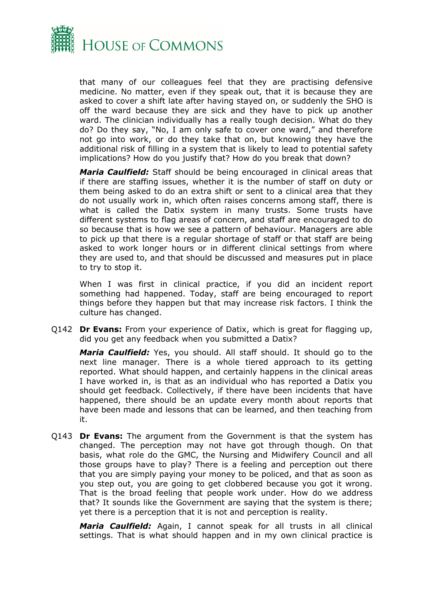

that many of our colleagues feel that they are practising defensive medicine. No matter, even if they speak out, that it is because they are asked to cover a shift late after having stayed on, or suddenly the SHO is off the ward because they are sick and they have to pick up another ward. The clinician individually has a really tough decision. What do they do? Do they say, "No, I am only safe to cover one ward," and therefore not go into work, or do they take that on, but knowing they have the additional risk of filling in a system that is likely to lead to potential safety implications? How do you justify that? How do you break that down?

*Maria Caulfield:* Staff should be being encouraged in clinical areas that if there are staffing issues, whether it is the number of staff on duty or them being asked to do an extra shift or sent to a clinical area that they do not usually work in, which often raises concerns among staff, there is what is called the Datix system in many trusts. Some trusts have different systems to flag areas of concern, and staff are encouraged to do so because that is how we see a pattern of behaviour. Managers are able to pick up that there is a regular shortage of staff or that staff are being asked to work longer hours or in different clinical settings from where they are used to, and that should be discussed and measures put in place to try to stop it.

When I was first in clinical practice, if you did an incident report something had happened. Today, staff are being encouraged to report things before they happen but that may increase risk factors. I think the culture has changed.

Q142 **Dr Evans:** From your experience of Datix, which is great for flagging up, did you get any feedback when you submitted a Datix?

*Maria Caulfield:* Yes, you should. All staff should. It should go to the next line manager. There is a whole tiered approach to its getting reported. What should happen, and certainly happens in the clinical areas I have worked in, is that as an individual who has reported a Datix you should get feedback. Collectively, if there have been incidents that have happened, there should be an update every month about reports that have been made and lessons that can be learned, and then teaching from it.

Q143 **Dr Evans:** The argument from the Government is that the system has changed. The perception may not have got through though. On that basis, what role do the GMC, the Nursing and Midwifery Council and all those groups have to play? There is a feeling and perception out there that you are simply paying your money to be policed, and that as soon as you step out, you are going to get clobbered because you got it wrong. That is the broad feeling that people work under. How do we address that? It sounds like the Government are saying that the system is there; yet there is a perception that it is not and perception is reality.

*Maria Caulfield:* Again, I cannot speak for all trusts in all clinical settings. That is what should happen and in my own clinical practice is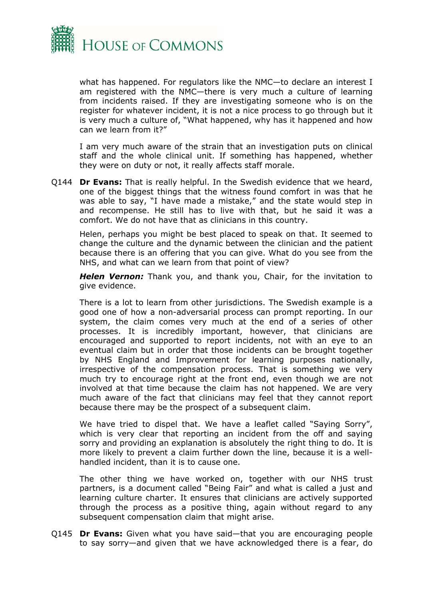

what has happened. For regulators like the NMC—to declare an interest I am registered with the NMC—there is very much a culture of learning from incidents raised. If they are investigating someone who is on the register for whatever incident, it is not a nice process to go through but it is very much a culture of, "What happened, why has it happened and how can we learn from it?"

I am very much aware of the strain that an investigation puts on clinical staff and the whole clinical unit. If something has happened, whether they were on duty or not, it really affects staff morale.

Q144 **Dr Evans:** That is really helpful. In the Swedish evidence that we heard, one of the biggest things that the witness found comfort in was that he was able to say, "I have made a mistake," and the state would step in and recompense. He still has to live with that, but he said it was a comfort. We do not have that as clinicians in this country.

Helen, perhaps you might be best placed to speak on that. It seemed to change the culture and the dynamic between the clinician and the patient because there is an offering that you can give. What do you see from the NHS, and what can we learn from that point of view?

*Helen Vernon:* Thank you, and thank you, Chair, for the invitation to give evidence.

There is a lot to learn from other jurisdictions. The Swedish example is a good one of how a non-adversarial process can prompt reporting. In our system, the claim comes very much at the end of a series of other processes. It is incredibly important, however, that clinicians are encouraged and supported to report incidents, not with an eye to an eventual claim but in order that those incidents can be brought together by NHS England and Improvement for learning purposes nationally, irrespective of the compensation process. That is something we very much try to encourage right at the front end, even though we are not involved at that time because the claim has not happened. We are very much aware of the fact that clinicians may feel that they cannot report because there may be the prospect of a subsequent claim.

We have tried to dispel that. We have a leaflet called "Saying Sorry", which is very clear that reporting an incident from the off and saying sorry and providing an explanation is absolutely the right thing to do. It is more likely to prevent a claim further down the line, because it is a wellhandled incident, than it is to cause one.

The other thing we have worked on, together with our NHS trust partners, is a document called "Being Fair" and what is called a just and learning culture charter. It ensures that clinicians are actively supported through the process as a positive thing, again without regard to any subsequent compensation claim that might arise.

Q145 **Dr Evans:** Given what you have said—that you are encouraging people to say sorry—and given that we have acknowledged there is a fear, do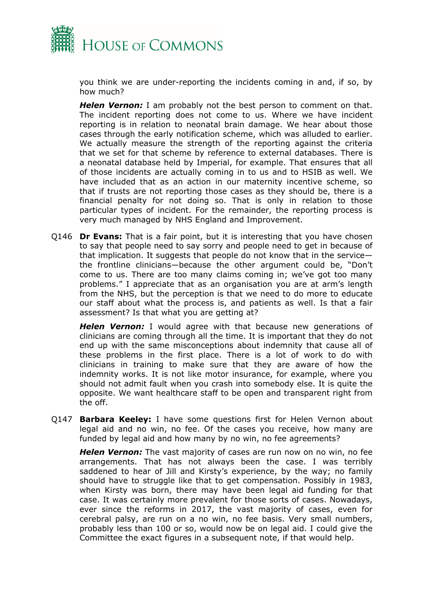

you think we are under-reporting the incidents coming in and, if so, by how much?

*Helen Vernon:* I am probably not the best person to comment on that. The incident reporting does not come to us. Where we have incident reporting is in relation to neonatal brain damage. We hear about those cases through the early notification scheme, which was alluded to earlier. We actually measure the strength of the reporting against the criteria that we set for that scheme by reference to external databases. There is a neonatal database held by Imperial, for example. That ensures that all of those incidents are actually coming in to us and to HSIB as well. We have included that as an action in our maternity incentive scheme, so that if trusts are not reporting those cases as they should be, there is a financial penalty for not doing so. That is only in relation to those particular types of incident. For the remainder, the reporting process is very much managed by NHS England and Improvement.

Q146 **Dr Evans:** That is a fair point, but it is interesting that you have chosen to say that people need to say sorry and people need to get in because of that implication. It suggests that people do not know that in the service the frontline clinicians—because the other argument could be, "Don't come to us. There are too many claims coming in; we've got too many problems." I appreciate that as an organisation you are at arm's length from the NHS, but the perception is that we need to do more to educate our staff about what the process is, and patients as well. Is that a fair assessment? Is that what you are getting at?

*Helen Vernon:* I would agree with that because new generations of clinicians are coming through all the time. It is important that they do not end up with the same misconceptions about indemnity that cause all of these problems in the first place. There is a lot of work to do with clinicians in training to make sure that they are aware of how the indemnity works. It is not like motor insurance, for example, where you should not admit fault when you crash into somebody else. It is quite the opposite. We want healthcare staff to be open and transparent right from the off.

Q147 **Barbara Keeley:** I have some questions first for Helen Vernon about legal aid and no win, no fee. Of the cases you receive, how many are funded by legal aid and how many by no win, no fee agreements?

*Helen Vernon:* The vast majority of cases are run now on no win, no fee arrangements. That has not always been the case. I was terribly saddened to hear of Jill and Kirsty's experience, by the way; no family should have to struggle like that to get compensation. Possibly in 1983, when Kirsty was born, there may have been legal aid funding for that case. It was certainly more prevalent for those sorts of cases. Nowadays, ever since the reforms in 2017, the vast majority of cases, even for cerebral palsy, are run on a no win, no fee basis. Very small numbers, probably less than 100 or so, would now be on legal aid. I could give the Committee the exact figures in a subsequent note, if that would help.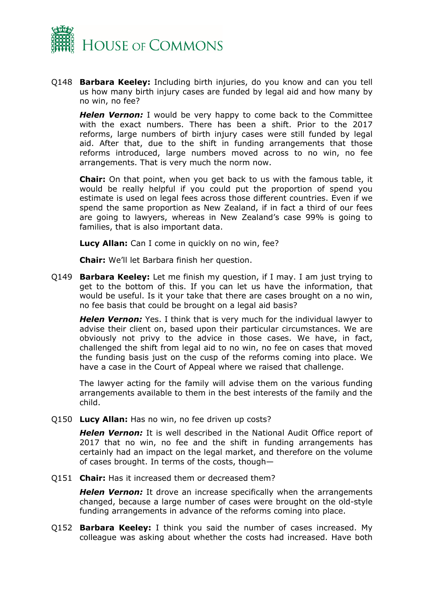

Q148 **Barbara Keeley:** Including birth injuries, do you know and can you tell us how many birth injury cases are funded by legal aid and how many by no win, no fee?

*Helen Vernon:* I would be very happy to come back to the Committee with the exact numbers. There has been a shift. Prior to the 2017 reforms, large numbers of birth injury cases were still funded by legal aid. After that, due to the shift in funding arrangements that those reforms introduced, large numbers moved across to no win, no fee arrangements. That is very much the norm now.

**Chair:** On that point, when you get back to us with the famous table, it would be really helpful if you could put the proportion of spend you estimate is used on legal fees across those different countries. Even if we spend the same proportion as New Zealand, if in fact a third of our fees are going to lawyers, whereas in New Zealand's case 99% is going to families, that is also important data.

**Lucy Allan:** Can I come in quickly on no win, fee?

**Chair:** We'll let Barbara finish her question.

Q149 **Barbara Keeley:** Let me finish my question, if I may. I am just trying to get to the bottom of this. If you can let us have the information, that would be useful. Is it your take that there are cases brought on a no win, no fee basis that could be brought on a legal aid basis?

*Helen Vernon:* Yes. I think that is very much for the individual lawyer to advise their client on, based upon their particular circumstances. We are obviously not privy to the advice in those cases. We have, in fact, challenged the shift from legal aid to no win, no fee on cases that moved the funding basis just on the cusp of the reforms coming into place. We have a case in the Court of Appeal where we raised that challenge.

The lawyer acting for the family will advise them on the various funding arrangements available to them in the best interests of the family and the child.

Q150 **Lucy Allan:** Has no win, no fee driven up costs?

*Helen Vernon:* It is well described in the National Audit Office report of 2017 that no win, no fee and the shift in funding arrangements has certainly had an impact on the legal market, and therefore on the volume of cases brought. In terms of the costs, though—

Q151 **Chair:** Has it increased them or decreased them?

*Helen Vernon:* It drove an increase specifically when the arrangements changed, because a large number of cases were brought on the old-style funding arrangements in advance of the reforms coming into place.

Q152 **Barbara Keeley:** I think you said the number of cases increased. My colleague was asking about whether the costs had increased. Have both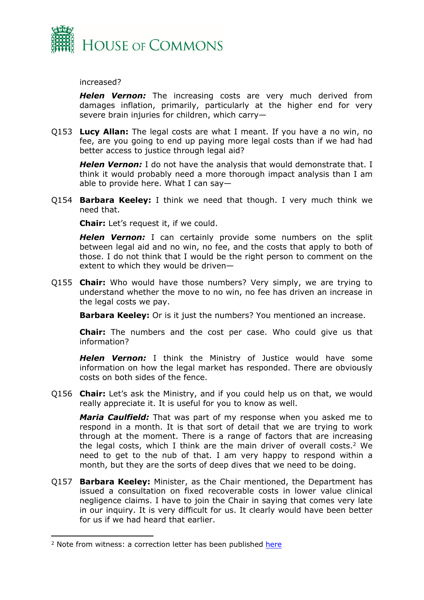

increased?

*Helen Vernon:* The increasing costs are very much derived from damages inflation, primarily, particularly at the higher end for very severe brain injuries for children, which carry—

Q153 **Lucy Allan:** The legal costs are what I meant. If you have a no win, no fee, are you going to end up paying more legal costs than if we had had better access to justice through legal aid?

*Helen Vernon:* I do not have the analysis that would demonstrate that. I think it would probably need a more thorough impact analysis than I am able to provide here. What I can say—

Q154 **Barbara Keeley:** I think we need that though. I very much think we need that.

**Chair:** Let's request it, if we could.

*Helen Vernon:* I can certainly provide some numbers on the split between legal aid and no win, no fee, and the costs that apply to both of those. I do not think that I would be the right person to comment on the extent to which they would be driven—

Q155 **Chair:** Who would have those numbers? Very simply, we are trying to understand whether the move to no win, no fee has driven an increase in the legal costs we pay.

**Barbara Keeley:** Or is it just the numbers? You mentioned an increase.

**Chair:** The numbers and the cost per case. Who could give us that information?

*Helen Vernon:* I think the Ministry of Justice would have some information on how the legal market has responded. There are obviously costs on both sides of the fence.

Q156 **Chair:** Let's ask the Ministry, and if you could help us on that, we would really appreciate it. It is useful for you to know as well.

*Maria Caulfield:* That was part of my response when you asked me to respond in a month. It is that sort of detail that we are trying to work through at the moment. There is a range of factors that are increasing the legal costs, which I think are the main driver of overall costs.<sup>2</sup> We need to get to the nub of that. I am very happy to respond within a month, but they are the sorts of deep dives that we need to be doing.

Q157 **Barbara Keeley:** Minister, as the Chair mentioned, the Department has issued a consultation on fixed recoverable costs in lower value clinical negligence claims. I have to join the Chair in saying that comes very late in our inquiry. It is very difficult for us. It clearly would have been better for us if we had heard that earlier.

<sup>2</sup> Note from witness: a correction letter has been published [here](https://committees.parliament.uk/publications/21883/documents/162927/default/)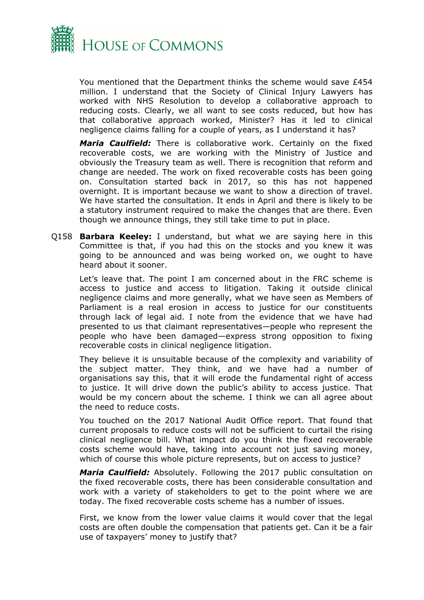

You mentioned that the Department thinks the scheme would save £454 million. I understand that the Society of Clinical Injury Lawyers has worked with NHS Resolution to develop a collaborative approach to reducing costs. Clearly, we all want to see costs reduced, but how has that collaborative approach worked, Minister? Has it led to clinical negligence claims falling for a couple of years, as I understand it has?

*Maria Caulfield:* There is collaborative work. Certainly on the fixed recoverable costs, we are working with the Ministry of Justice and obviously the Treasury team as well. There is recognition that reform and change are needed. The work on fixed recoverable costs has been going on. Consultation started back in 2017, so this has not happened overnight. It is important because we want to show a direction of travel. We have started the consultation. It ends in April and there is likely to be a statutory instrument required to make the changes that are there. Even though we announce things, they still take time to put in place.

Q158 **Barbara Keeley:** I understand, but what we are saying here in this Committee is that, if you had this on the stocks and you knew it was going to be announced and was being worked on, we ought to have heard about it sooner.

Let's leave that. The point I am concerned about in the FRC scheme is access to justice and access to litigation. Taking it outside clinical negligence claims and more generally, what we have seen as Members of Parliament is a real erosion in access to justice for our constituents through lack of legal aid. I note from the evidence that we have had presented to us that claimant representatives—people who represent the people who have been damaged—express strong opposition to fixing recoverable costs in clinical negligence litigation.

They believe it is unsuitable because of the complexity and variability of the subject matter. They think, and we have had a number of organisations say this, that it will erode the fundamental right of access to justice. It will drive down the public's ability to access justice. That would be my concern about the scheme. I think we can all agree about the need to reduce costs.

You touched on the 2017 National Audit Office report. That found that current proposals to reduce costs will not be sufficient to curtail the rising clinical negligence bill. What impact do you think the fixed recoverable costs scheme would have, taking into account not just saving money, which of course this whole picture represents, but on access to justice?

*Maria Caulfield:* Absolutely. Following the 2017 public consultation on the fixed recoverable costs, there has been considerable consultation and work with a variety of stakeholders to get to the point where we are today. The fixed recoverable costs scheme has a number of issues.

First, we know from the lower value claims it would cover that the legal costs are often double the compensation that patients get. Can it be a fair use of taxpayers' money to justify that?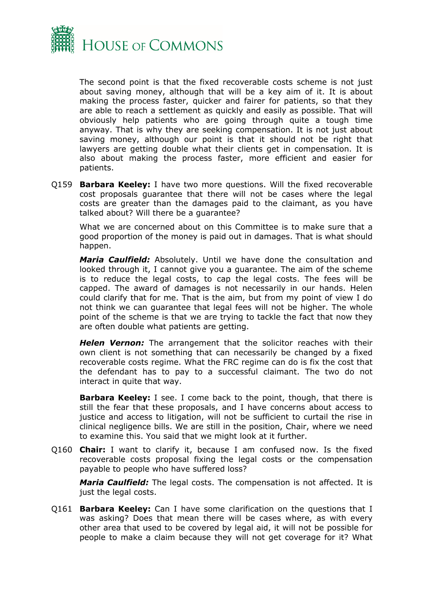

The second point is that the fixed recoverable costs scheme is not just about saving money, although that will be a key aim of it. It is about making the process faster, quicker and fairer for patients, so that they are able to reach a settlement as quickly and easily as possible. That will obviously help patients who are going through quite a tough time anyway. That is why they are seeking compensation. It is not just about saving money, although our point is that it should not be right that lawyers are getting double what their clients get in compensation. It is also about making the process faster, more efficient and easier for patients.

Q159 **Barbara Keeley:** I have two more questions. Will the fixed recoverable cost proposals guarantee that there will not be cases where the legal costs are greater than the damages paid to the claimant, as you have talked about? Will there be a guarantee?

What we are concerned about on this Committee is to make sure that a good proportion of the money is paid out in damages. That is what should happen.

*Maria Caulfield:* Absolutely. Until we have done the consultation and looked through it, I cannot give you a guarantee. The aim of the scheme is to reduce the legal costs, to cap the legal costs. The fees will be capped. The award of damages is not necessarily in our hands. Helen could clarify that for me. That is the aim, but from my point of view I do not think we can guarantee that legal fees will not be higher. The whole point of the scheme is that we are trying to tackle the fact that now they are often double what patients are getting.

*Helen Vernon:* The arrangement that the solicitor reaches with their own client is not something that can necessarily be changed by a fixed recoverable costs regime. What the FRC regime can do is fix the cost that the defendant has to pay to a successful claimant. The two do not interact in quite that way.

**Barbara Keeley:** I see. I come back to the point, though, that there is still the fear that these proposals, and I have concerns about access to justice and access to litigation, will not be sufficient to curtail the rise in clinical negligence bills. We are still in the position, Chair, where we need to examine this. You said that we might look at it further.

Q160 **Chair:** I want to clarify it, because I am confused now. Is the fixed recoverable costs proposal fixing the legal costs or the compensation payable to people who have suffered loss?

*Maria Caulfield:* The legal costs. The compensation is not affected. It is just the legal costs.

Q161 **Barbara Keeley:** Can I have some clarification on the questions that I was asking? Does that mean there will be cases where, as with every other area that used to be covered by legal aid, it will not be possible for people to make a claim because they will not get coverage for it? What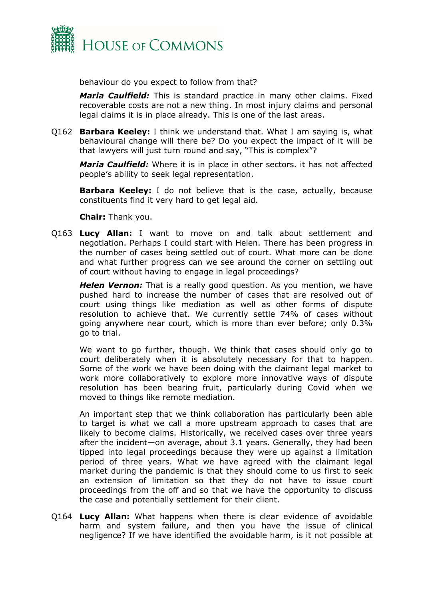

behaviour do you expect to follow from that?

*Maria Caulfield:* This is standard practice in many other claims. Fixed recoverable costs are not a new thing. In most injury claims and personal legal claims it is in place already. This is one of the last areas.

Q162 **Barbara Keeley:** I think we understand that. What I am saying is, what behavioural change will there be? Do you expect the impact of it will be that lawyers will just turn round and say, "This is complex"?

*Maria Caulfield:* Where it is in place in other sectors. it has not affected people's ability to seek legal representation.

**Barbara Keeley:** I do not believe that is the case, actually, because constituents find it very hard to get legal aid.

**Chair:** Thank you.

Q163 **Lucy Allan:** I want to move on and talk about settlement and negotiation. Perhaps I could start with Helen. There has been progress in the number of cases being settled out of court. What more can be done and what further progress can we see around the corner on settling out of court without having to engage in legal proceedings?

*Helen Vernon:* That is a really good question. As you mention, we have pushed hard to increase the number of cases that are resolved out of court using things like mediation as well as other forms of dispute resolution to achieve that. We currently settle 74% of cases without going anywhere near court, which is more than ever before; only 0.3% go to trial.

We want to go further, though. We think that cases should only go to court deliberately when it is absolutely necessary for that to happen. Some of the work we have been doing with the claimant legal market to work more collaboratively to explore more innovative ways of dispute resolution has been bearing fruit, particularly during Covid when we moved to things like remote mediation.

An important step that we think collaboration has particularly been able to target is what we call a more upstream approach to cases that are likely to become claims. Historically, we received cases over three years after the incident—on average, about 3.1 years. Generally, they had been tipped into legal proceedings because they were up against a limitation period of three years. What we have agreed with the claimant legal market during the pandemic is that they should come to us first to seek an extension of limitation so that they do not have to issue court proceedings from the off and so that we have the opportunity to discuss the case and potentially settlement for their client.

Q164 **Lucy Allan:** What happens when there is clear evidence of avoidable harm and system failure, and then you have the issue of clinical negligence? If we have identified the avoidable harm, is it not possible at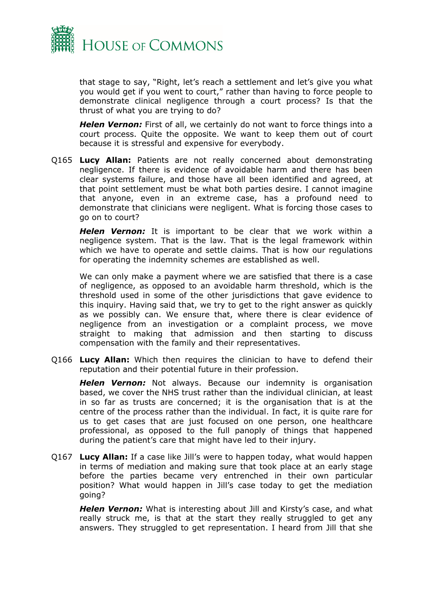

that stage to say, "Right, let's reach a settlement and let's give you what you would get if you went to court," rather than having to force people to demonstrate clinical negligence through a court process? Is that the thrust of what you are trying to do?

**Helen Vernon:** First of all, we certainly do not want to force things into a court process. Quite the opposite. We want to keep them out of court because it is stressful and expensive for everybody.

Q165 **Lucy Allan:** Patients are not really concerned about demonstrating negligence. If there is evidence of avoidable harm and there has been clear systems failure, and those have all been identified and agreed, at that point settlement must be what both parties desire. I cannot imagine that anyone, even in an extreme case, has a profound need to demonstrate that clinicians were negligent. What is forcing those cases to go on to court?

*Helen Vernon:* It is important to be clear that we work within a negligence system. That is the law. That is the legal framework within which we have to operate and settle claims. That is how our regulations for operating the indemnity schemes are established as well.

We can only make a payment where we are satisfied that there is a case of negligence, as opposed to an avoidable harm threshold, which is the threshold used in some of the other jurisdictions that gave evidence to this inquiry. Having said that, we try to get to the right answer as quickly as we possibly can. We ensure that, where there is clear evidence of negligence from an investigation or a complaint process, we move straight to making that admission and then starting to discuss compensation with the family and their representatives.

Q166 **Lucy Allan:** Which then requires the clinician to have to defend their reputation and their potential future in their profession.

*Helen Vernon:* Not always. Because our indemnity is organisation based, we cover the NHS trust rather than the individual clinician, at least in so far as trusts are concerned; it is the organisation that is at the centre of the process rather than the individual. In fact, it is quite rare for us to get cases that are just focused on one person, one healthcare professional, as opposed to the full panoply of things that happened during the patient's care that might have led to their injury.

Q167 **Lucy Allan:** If a case like Jill's were to happen today, what would happen in terms of mediation and making sure that took place at an early stage before the parties became very entrenched in their own particular position? What would happen in Jill's case today to get the mediation going?

*Helen Vernon:* What is interesting about Jill and Kirsty's case, and what really struck me, is that at the start they really struggled to get any answers. They struggled to get representation. I heard from Jill that she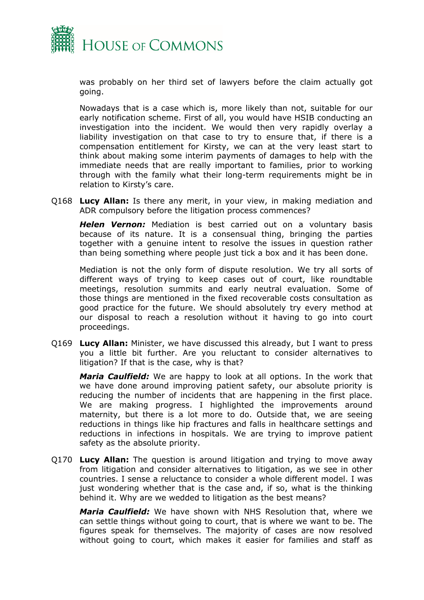

was probably on her third set of lawyers before the claim actually got going.

Nowadays that is a case which is, more likely than not, suitable for our early notification scheme. First of all, you would have HSIB conducting an investigation into the incident. We would then very rapidly overlay a liability investigation on that case to try to ensure that, if there is a compensation entitlement for Kirsty, we can at the very least start to think about making some interim payments of damages to help with the immediate needs that are really important to families, prior to working through with the family what their long-term requirements might be in relation to Kirsty's care.

Q168 **Lucy Allan:** Is there any merit, in your view, in making mediation and ADR compulsory before the litigation process commences?

*Helen Vernon:* Mediation is best carried out on a voluntary basis because of its nature. It is a consensual thing, bringing the parties together with a genuine intent to resolve the issues in question rather than being something where people just tick a box and it has been done.

Mediation is not the only form of dispute resolution. We try all sorts of different ways of trying to keep cases out of court, like roundtable meetings, resolution summits and early neutral evaluation. Some of those things are mentioned in the fixed recoverable costs consultation as good practice for the future. We should absolutely try every method at our disposal to reach a resolution without it having to go into court proceedings.

Q169 **Lucy Allan:** Minister, we have discussed this already, but I want to press you a little bit further. Are you reluctant to consider alternatives to litigation? If that is the case, why is that?

*Maria Caulfield:* We are happy to look at all options. In the work that we have done around improving patient safety, our absolute priority is reducing the number of incidents that are happening in the first place. We are making progress. I highlighted the improvements around maternity, but there is a lot more to do. Outside that, we are seeing reductions in things like hip fractures and falls in healthcare settings and reductions in infections in hospitals. We are trying to improve patient safety as the absolute priority.

Q170 **Lucy Allan:** The question is around litigation and trying to move away from litigation and consider alternatives to litigation, as we see in other countries. I sense a reluctance to consider a whole different model. I was just wondering whether that is the case and, if so, what is the thinking behind it. Why are we wedded to litigation as the best means?

*Maria Caulfield:* We have shown with NHS Resolution that, where we can settle things without going to court, that is where we want to be. The figures speak for themselves. The majority of cases are now resolved without going to court, which makes it easier for families and staff as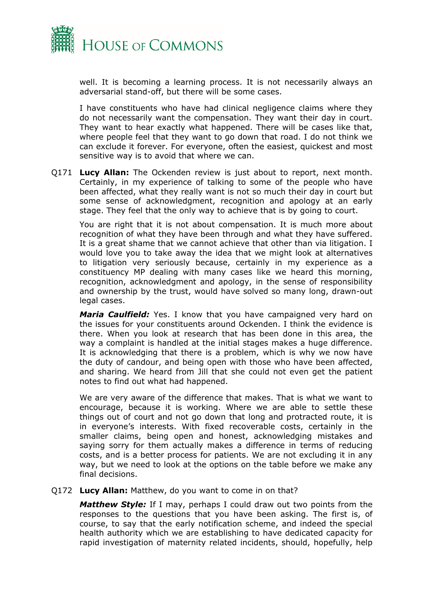

well. It is becoming a learning process. It is not necessarily always an adversarial stand-off, but there will be some cases.

I have constituents who have had clinical negligence claims where they do not necessarily want the compensation. They want their day in court. They want to hear exactly what happened. There will be cases like that, where people feel that they want to go down that road. I do not think we can exclude it forever. For everyone, often the easiest, quickest and most sensitive way is to avoid that where we can.

Q171 **Lucy Allan:** The Ockenden review is just about to report, next month. Certainly, in my experience of talking to some of the people who have been affected, what they really want is not so much their day in court but some sense of acknowledgment, recognition and apology at an early stage. They feel that the only way to achieve that is by going to court.

You are right that it is not about compensation. It is much more about recognition of what they have been through and what they have suffered. It is a great shame that we cannot achieve that other than via litigation. I would love you to take away the idea that we might look at alternatives to litigation very seriously because, certainly in my experience as a constituency MP dealing with many cases like we heard this morning, recognition, acknowledgment and apology, in the sense of responsibility and ownership by the trust, would have solved so many long, drawn-out legal cases.

*Maria Caulfield:* Yes. I know that you have campaigned very hard on the issues for your constituents around Ockenden. I think the evidence is there. When you look at research that has been done in this area, the way a complaint is handled at the initial stages makes a huge difference. It is acknowledging that there is a problem, which is why we now have the duty of candour, and being open with those who have been affected, and sharing. We heard from Jill that she could not even get the patient notes to find out what had happened.

We are very aware of the difference that makes. That is what we want to encourage, because it is working. Where we are able to settle these things out of court and not go down that long and protracted route, it is in everyone's interests. With fixed recoverable costs, certainly in the smaller claims, being open and honest, acknowledging mistakes and saying sorry for them actually makes a difference in terms of reducing costs, and is a better process for patients. We are not excluding it in any way, but we need to look at the options on the table before we make any final decisions.

#### Q172 **Lucy Allan:** Matthew, do you want to come in on that?

*Matthew Style:* If I may, perhaps I could draw out two points from the responses to the questions that you have been asking. The first is, of course, to say that the early notification scheme, and indeed the special health authority which we are establishing to have dedicated capacity for rapid investigation of maternity related incidents, should, hopefully, help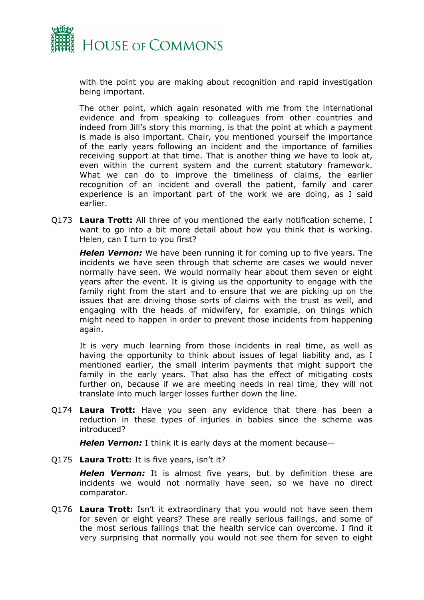

with the point you are making about recognition and rapid investigation being important.

The other point, which again resonated with me from the international evidence and from speaking to colleagues from other countries and indeed from Jill's story this morning, is that the point at which a payment is made is also important. Chair, you mentioned yourself the importance of the early years following an incident and the importance of families receiving support at that time. That is another thing we have to look at, even within the current system and the current statutory framework. What we can do to improve the timeliness of claims, the earlier recognition of an incident and overall the patient, family and carer experience is an important part of the work we are doing, as I said earlier.

Q173 **Laura Trott:** All three of you mentioned the early notification scheme. I want to go into a bit more detail about how you think that is working. Helen, can I turn to you first?

*Helen Vernon:* We have been running it for coming up to five years. The incidents we have seen through that scheme are cases we would never normally have seen. We would normally hear about them seven or eight years after the event. It is giving us the opportunity to engage with the family right from the start and to ensure that we are picking up on the issues that are driving those sorts of claims with the trust as well, and engaging with the heads of midwifery, for example, on things which might need to happen in order to prevent those incidents from happening again.

It is very much learning from those incidents in real time, as well as having the opportunity to think about issues of legal liability and, as I mentioned earlier, the small interim payments that might support the family in the early years. That also has the effect of mitigating costs further on, because if we are meeting needs in real time, they will not translate into much larger losses further down the line.

Q174 **Laura Trott:** Have you seen any evidence that there has been a reduction in these types of injuries in babies since the scheme was introduced?

*Helen Vernon:* I think it is early days at the moment because—

Q175 **Laura Trott:** It is five years, isn't it?

*Helen Vernon:* It is almost five years, but by definition these are incidents we would not normally have seen, so we have no direct comparator.

Q176 **Laura Trott:** Isn't it extraordinary that you would not have seen them for seven or eight years? These are really serious failings, and some of the most serious failings that the health service can overcome. I find it very surprising that normally you would not see them for seven to eight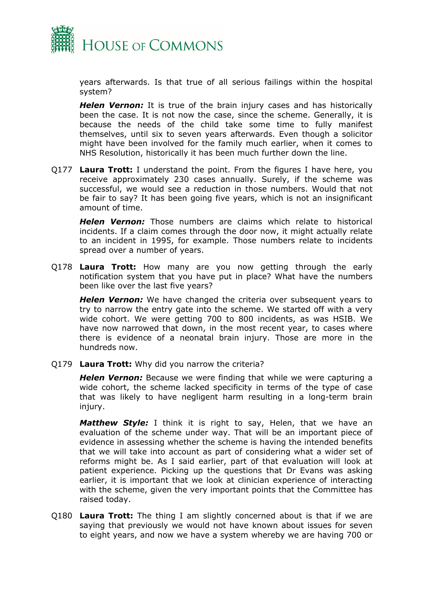

years afterwards. Is that true of all serious failings within the hospital system?

*Helen Vernon:* It is true of the brain injury cases and has historically been the case. It is not now the case, since the scheme. Generally, it is because the needs of the child take some time to fully manifest themselves, until six to seven years afterwards. Even though a solicitor might have been involved for the family much earlier, when it comes to NHS Resolution, historically it has been much further down the line.

Q177 **Laura Trott:** I understand the point. From the figures I have here, you receive approximately 230 cases annually. Surely, if the scheme was successful, we would see a reduction in those numbers. Would that not be fair to say? It has been going five years, which is not an insignificant amount of time.

*Helen Vernon:* Those numbers are claims which relate to historical incidents. If a claim comes through the door now, it might actually relate to an incident in 1995, for example. Those numbers relate to incidents spread over a number of years.

Q178 **Laura Trott:** How many are you now getting through the early notification system that you have put in place? What have the numbers been like over the last five years?

*Helen Vernon:* We have changed the criteria over subsequent years to try to narrow the entry gate into the scheme. We started off with a very wide cohort. We were getting 700 to 800 incidents, as was HSIB. We have now narrowed that down, in the most recent year, to cases where there is evidence of a neonatal brain injury. Those are more in the hundreds now.

Q179 **Laura Trott:** Why did you narrow the criteria?

*Helen Vernon:* Because we were finding that while we were capturing a wide cohort, the scheme lacked specificity in terms of the type of case that was likely to have negligent harm resulting in a long-term brain injury.

*Matthew Style:* I think it is right to say, Helen, that we have an evaluation of the scheme under way. That will be an important piece of evidence in assessing whether the scheme is having the intended benefits that we will take into account as part of considering what a wider set of reforms might be. As I said earlier, part of that evaluation will look at patient experience. Picking up the questions that Dr Evans was asking earlier, it is important that we look at clinician experience of interacting with the scheme, given the very important points that the Committee has raised today.

Q180 **Laura Trott:** The thing I am slightly concerned about is that if we are saying that previously we would not have known about issues for seven to eight years, and now we have a system whereby we are having 700 or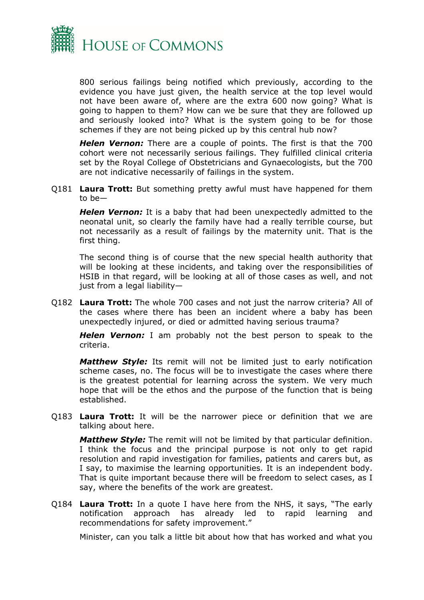

800 serious failings being notified which previously, according to the evidence you have just given, the health service at the top level would not have been aware of, where are the extra 600 now going? What is going to happen to them? How can we be sure that they are followed up and seriously looked into? What is the system going to be for those schemes if they are not being picked up by this central hub now?

*Helen Vernon:* There are a couple of points. The first is that the 700 cohort were not necessarily serious failings. They fulfilled clinical criteria set by the Royal College of Obstetricians and Gynaecologists, but the 700 are not indicative necessarily of failings in the system.

Q181 **Laura Trott:** But something pretty awful must have happened for them to be—

*Helen Vernon:* It is a baby that had been unexpectedly admitted to the neonatal unit, so clearly the family have had a really terrible course, but not necessarily as a result of failings by the maternity unit. That is the first thing.

The second thing is of course that the new special health authority that will be looking at these incidents, and taking over the responsibilities of HSIB in that regard, will be looking at all of those cases as well, and not just from a legal liability—

Q182 **Laura Trott:** The whole 700 cases and not just the narrow criteria? All of the cases where there has been an incident where a baby has been unexpectedly injured, or died or admitted having serious trauma?

*Helen Vernon:* I am probably not the best person to speak to the criteria.

*Matthew Style:* Its remit will not be limited just to early notification scheme cases, no. The focus will be to investigate the cases where there is the greatest potential for learning across the system. We very much hope that will be the ethos and the purpose of the function that is being established.

Q183 **Laura Trott:** It will be the narrower piece or definition that we are talking about here.

*Matthew Style:* The remit will not be limited by that particular definition. I think the focus and the principal purpose is not only to get rapid resolution and rapid investigation for families, patients and carers but, as I say, to maximise the learning opportunities. It is an independent body. That is quite important because there will be freedom to select cases, as I say, where the benefits of the work are greatest.

Q184 **Laura Trott:** In a quote I have here from the NHS, it says, "The early notification approach has already led to rapid learning and recommendations for safety improvement."

Minister, can you talk a little bit about how that has worked and what you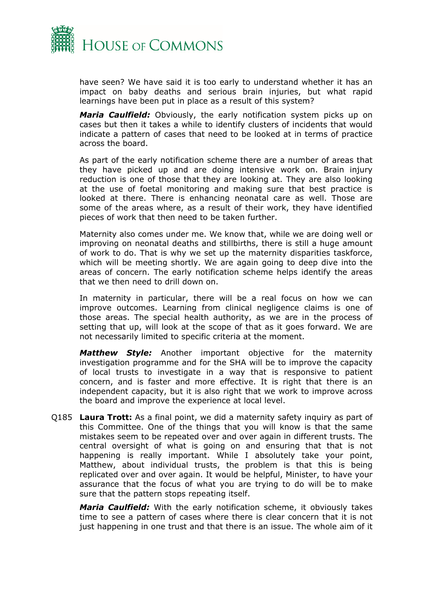

have seen? We have said it is too early to understand whether it has an impact on baby deaths and serious brain injuries, but what rapid learnings have been put in place as a result of this system?

*Maria Caulfield:* Obviously, the early notification system picks up on cases but then it takes a while to identify clusters of incidents that would indicate a pattern of cases that need to be looked at in terms of practice across the board.

As part of the early notification scheme there are a number of areas that they have picked up and are doing intensive work on. Brain injury reduction is one of those that they are looking at. They are also looking at the use of foetal monitoring and making sure that best practice is looked at there. There is enhancing neonatal care as well. Those are some of the areas where, as a result of their work, they have identified pieces of work that then need to be taken further.

Maternity also comes under me. We know that, while we are doing well or improving on neonatal deaths and stillbirths, there is still a huge amount of work to do. That is why we set up the maternity disparities taskforce, which will be meeting shortly. We are again going to deep dive into the areas of concern. The early notification scheme helps identify the areas that we then need to drill down on.

In maternity in particular, there will be a real focus on how we can improve outcomes. Learning from clinical negligence claims is one of those areas. The special health authority, as we are in the process of setting that up, will look at the scope of that as it goes forward. We are not necessarily limited to specific criteria at the moment.

*Matthew Style:* Another important objective for the maternity investigation programme and for the SHA will be to improve the capacity of local trusts to investigate in a way that is responsive to patient concern, and is faster and more effective. It is right that there is an independent capacity, but it is also right that we work to improve across the board and improve the experience at local level.

Q185 **Laura Trott:** As a final point, we did a maternity safety inquiry as part of this Committee. One of the things that you will know is that the same mistakes seem to be repeated over and over again in different trusts. The central oversight of what is going on and ensuring that that is not happening is really important. While I absolutely take your point, Matthew, about individual trusts, the problem is that this is being replicated over and over again. It would be helpful, Minister, to have your assurance that the focus of what you are trying to do will be to make sure that the pattern stops repeating itself.

*Maria Caulfield:* With the early notification scheme, it obviously takes time to see a pattern of cases where there is clear concern that it is not just happening in one trust and that there is an issue. The whole aim of it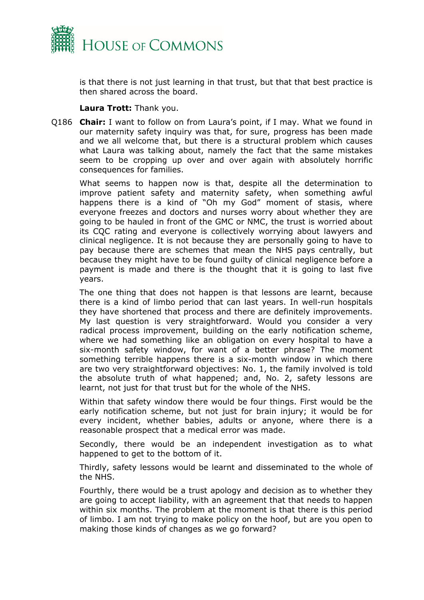

is that there is not just learning in that trust, but that that best practice is then shared across the board.

**Laura Trott:** Thank you.

Q186 **Chair:** I want to follow on from Laura's point, if I may. What we found in our maternity safety inquiry was that, for sure, progress has been made and we all welcome that, but there is a structural problem which causes what Laura was talking about, namely the fact that the same mistakes seem to be cropping up over and over again with absolutely horrific consequences for families.

What seems to happen now is that, despite all the determination to improve patient safety and maternity safety, when something awful happens there is a kind of "Oh my God" moment of stasis, where everyone freezes and doctors and nurses worry about whether they are going to be hauled in front of the GMC or NMC, the trust is worried about its CQC rating and everyone is collectively worrying about lawyers and clinical negligence. It is not because they are personally going to have to pay because there are schemes that mean the NHS pays centrally, but because they might have to be found guilty of clinical negligence before a payment is made and there is the thought that it is going to last five years.

The one thing that does not happen is that lessons are learnt, because there is a kind of limbo period that can last years. In well-run hospitals they have shortened that process and there are definitely improvements. My last question is very straightforward. Would you consider a very radical process improvement, building on the early notification scheme, where we had something like an obligation on every hospital to have a six-month safety window, for want of a better phrase? The moment something terrible happens there is a six-month window in which there are two very straightforward objectives: No. 1, the family involved is told the absolute truth of what happened; and, No. 2, safety lessons are learnt, not just for that trust but for the whole of the NHS.

Within that safety window there would be four things. First would be the early notification scheme, but not just for brain injury; it would be for every incident, whether babies, adults or anyone, where there is a reasonable prospect that a medical error was made.

Secondly, there would be an independent investigation as to what happened to get to the bottom of it.

Thirdly, safety lessons would be learnt and disseminated to the whole of the NHS.

Fourthly, there would be a trust apology and decision as to whether they are going to accept liability, with an agreement that that needs to happen within six months. The problem at the moment is that there is this period of limbo. I am not trying to make policy on the hoof, but are you open to making those kinds of changes as we go forward?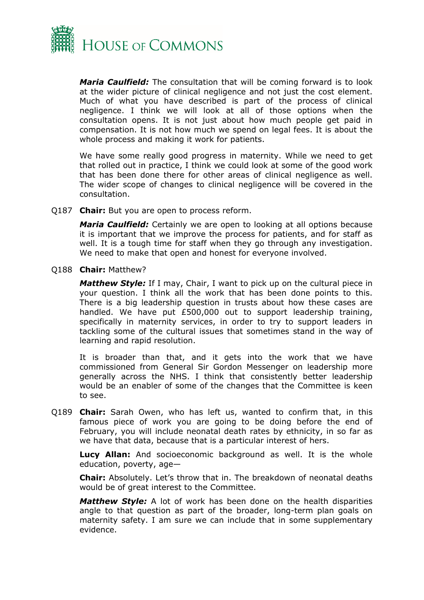

*Maria Caulfield:* The consultation that will be coming forward is to look at the wider picture of clinical negligence and not just the cost element. Much of what you have described is part of the process of clinical negligence. I think we will look at all of those options when the consultation opens. It is not just about how much people get paid in compensation. It is not how much we spend on legal fees. It is about the whole process and making it work for patients.

We have some really good progress in maternity. While we need to get that rolled out in practice, I think we could look at some of the good work that has been done there for other areas of clinical negligence as well. The wider scope of changes to clinical negligence will be covered in the consultation.

Q187 **Chair:** But you are open to process reform.

*Maria Caulfield:* Certainly we are open to looking at all options because it is important that we improve the process for patients, and for staff as well. It is a tough time for staff when they go through any investigation. We need to make that open and honest for everyone involved.

Q188 **Chair:** Matthew?

*Matthew Style:* If I may, Chair, I want to pick up on the cultural piece in your question. I think all the work that has been done points to this. There is a big leadership question in trusts about how these cases are handled. We have put £500,000 out to support leadership training, specifically in maternity services, in order to try to support leaders in tackling some of the cultural issues that sometimes stand in the way of learning and rapid resolution.

It is broader than that, and it gets into the work that we have commissioned from General Sir Gordon Messenger on leadership more generally across the NHS. I think that consistently better leadership would be an enabler of some of the changes that the Committee is keen to see.

Q189 **Chair:** Sarah Owen, who has left us, wanted to confirm that, in this famous piece of work you are going to be doing before the end of February, you will include neonatal death rates by ethnicity, in so far as we have that data, because that is a particular interest of hers.

**Lucy Allan:** And socioeconomic background as well. It is the whole education, poverty, age—

**Chair:** Absolutely. Let's throw that in. The breakdown of neonatal deaths would be of great interest to the Committee.

*Matthew Style:* A lot of work has been done on the health disparities angle to that question as part of the broader, long-term plan goals on maternity safety. I am sure we can include that in some supplementary evidence.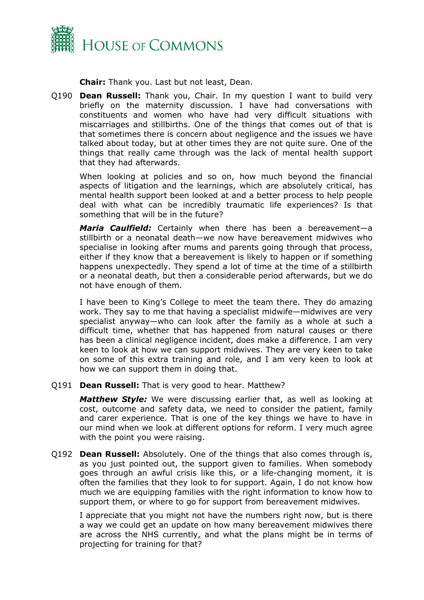

**Chair:** Thank you. Last but not least, Dean.

Q190 **Dean Russell:** Thank you, Chair. In my question I want to build very briefly on the maternity discussion. I have had conversations with constituents and women who have had very difficult situations with miscarriages and stillbirths. One of the things that comes out of that is that sometimes there is concern about negligence and the issues we have talked about today, but at other times they are not quite sure. One of the things that really came through was the lack of mental health support that they had afterwards.

When looking at policies and so on, how much beyond the financial aspects of litigation and the learnings, which are absolutely critical, has mental health support been looked at and a better process to help people deal with what can be incredibly traumatic life experiences? Is that something that will be in the future?

*Maria Caulfield:* Certainly when there has been a bereavement—a stillbirth or a neonatal death—we now have bereavement midwives who specialise in looking after mums and parents going through that process, either if they know that a bereavement is likely to happen or if something happens unexpectedly. They spend a lot of time at the time of a stillbirth or a neonatal death, but then a considerable period afterwards, but we do not have enough of them.

I have been to King's College to meet the team there. They do amazing work. They say to me that having a specialist midwife—midwives are very specialist anyway—who can look after the family as a whole at such a difficult time, whether that has happened from natural causes or there has been a clinical negligence incident, does make a difference. I am very keen to look at how we can support midwives. They are very keen to take on some of this extra training and role, and I am very keen to look at how we can support them in doing that.

Q191 **Dean Russell:** That is very good to hear. Matthew?

*Matthew Style:* We were discussing earlier that, as well as looking at cost, outcome and safety data, we need to consider the patient, family and carer experience. That is one of the key things we have to have in our mind when we look at different options for reform. I very much agree with the point you were raising.

Q192 **Dean Russell:** Absolutely. One of the things that also comes through is, as you just pointed out, the support given to families. When somebody goes through an awful crisis like this, or a life-changing moment, it is often the families that they look to for support. Again, I do not know how much we are equipping families with the right information to know how to support them, or where to go for support from bereavement midwives.

I appreciate that you might not have the numbers right now, but is there a way we could get an update on how many bereavement midwives there are across the NHS currently, and what the plans might be in terms of projecting for training for that?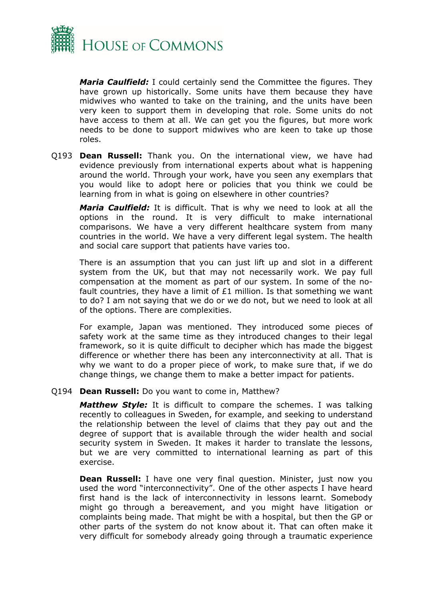

*Maria Caulfield:* I could certainly send the Committee the figures. They have grown up historically. Some units have them because they have midwives who wanted to take on the training, and the units have been very keen to support them in developing that role. Some units do not have access to them at all. We can get you the figures, but more work needs to be done to support midwives who are keen to take up those roles.

Q193 **Dean Russell:** Thank you. On the international view, we have had evidence previously from international experts about what is happening around the world. Through your work, have you seen any exemplars that you would like to adopt here or policies that you think we could be learning from in what is going on elsewhere in other countries?

*Maria Caulfield:* It is difficult. That is why we need to look at all the options in the round. It is very difficult to make international comparisons. We have a very different healthcare system from many countries in the world. We have a very different legal system. The health and social care support that patients have varies too.

There is an assumption that you can just lift up and slot in a different system from the UK, but that may not necessarily work. We pay full compensation at the moment as part of our system. In some of the nofault countries, they have a limit of  $E1$  million. Is that something we want to do? I am not saying that we do or we do not, but we need to look at all of the options. There are complexities.

For example, Japan was mentioned. They introduced some pieces of safety work at the same time as they introduced changes to their legal framework, so it is quite difficult to decipher which has made the biggest difference or whether there has been any interconnectivity at all. That is why we want to do a proper piece of work, to make sure that, if we do change things, we change them to make a better impact for patients.

#### Q194 **Dean Russell:** Do you want to come in, Matthew?

*Matthew Style:* It is difficult to compare the schemes. I was talking recently to colleagues in Sweden, for example, and seeking to understand the relationship between the level of claims that they pay out and the degree of support that is available through the wider health and social security system in Sweden. It makes it harder to translate the lessons, but we are very committed to international learning as part of this exercise.

**Dean Russell:** I have one very final question. Minister, just now you used the word "interconnectivity". One of the other aspects I have heard first hand is the lack of interconnectivity in lessons learnt. Somebody might go through a bereavement, and you might have litigation or complaints being made. That might be with a hospital, but then the GP or other parts of the system do not know about it. That can often make it very difficult for somebody already going through a traumatic experience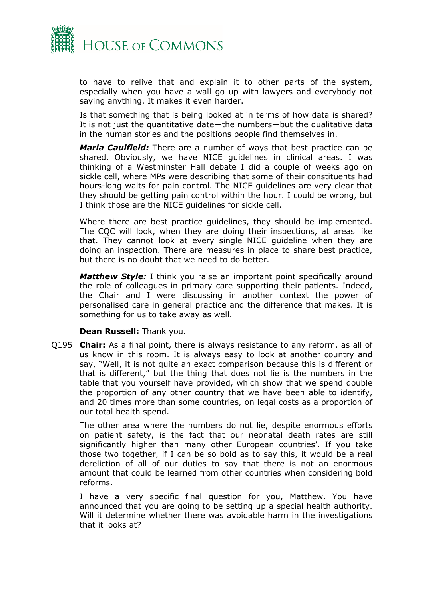

to have to relive that and explain it to other parts of the system, especially when you have a wall go up with lawyers and everybody not saying anything. It makes it even harder.

Is that something that is being looked at in terms of how data is shared? It is not just the quantitative date—the numbers—but the qualitative data in the human stories and the positions people find themselves in.

*Maria Caulfield:* There are a number of ways that best practice can be shared. Obviously, we have NICE guidelines in clinical areas. I was thinking of a Westminster Hall debate I did a couple of weeks ago on sickle cell, where MPs were describing that some of their constituents had hours-long waits for pain control. The NICE guidelines are very clear that they should be getting pain control within the hour. I could be wrong, but I think those are the NICE guidelines for sickle cell.

Where there are best practice guidelines, they should be implemented. The CQC will look, when they are doing their inspections, at areas like that. They cannot look at every single NICE guideline when they are doing an inspection. There are measures in place to share best practice, but there is no doubt that we need to do better.

*Matthew Style:* I think you raise an important point specifically around the role of colleagues in primary care supporting their patients. Indeed, the Chair and I were discussing in another context the power of personalised care in general practice and the difference that makes. It is something for us to take away as well.

#### **Dean Russell:** Thank you.

Q195 **Chair:** As a final point, there is always resistance to any reform, as all of us know in this room. It is always easy to look at another country and say, "Well, it is not quite an exact comparison because this is different or that is different," but the thing that does not lie is the numbers in the table that you yourself have provided, which show that we spend double the proportion of any other country that we have been able to identify, and 20 times more than some countries, on legal costs as a proportion of our total health spend.

The other area where the numbers do not lie, despite enormous efforts on patient safety, is the fact that our neonatal death rates are still significantly higher than many other European countries'. If you take those two together, if I can be so bold as to say this, it would be a real dereliction of all of our duties to say that there is not an enormous amount that could be learned from other countries when considering bold reforms.

I have a very specific final question for you, Matthew. You have announced that you are going to be setting up a special health authority. Will it determine whether there was avoidable harm in the investigations that it looks at?